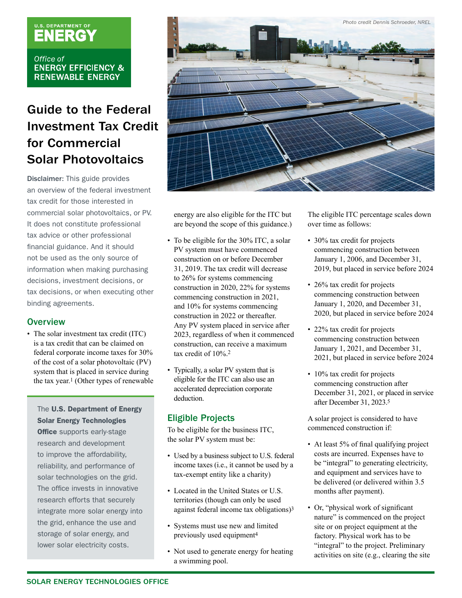# U.S. DEPARTMENT OF

Office of **ENERGY EFFICIENCY & RENEWABLE ENERGY** 

# Guide to the Federal Investment Tax Credit for Commercial Solar Photovoltaics

Disclaimer: This guide provides an overview of the federal investment tax credit for those interested in commercial solar photovoltaics, or PV. It does not constitute professional tax advice or other professional financial guidance. And it should not be used as the only source of information when making purchasing decisions, investment decisions, or tax decisions, or when executing other binding agreements.

# **Overview**

• The solar investment tax credit (ITC) is a tax credit that can be claimed on federal corporate income taxes for 30% of the cost of a solar photovoltaic (PV) system that is placed in service during the tax year.1 (Other types of renewable

# The U.S. Department of Energy Solar Energy Technologies

**Office** supports early-stage research and development to improve the affordability, reliability, and performance of solar technologies on the grid. The office invests in innovative research efforts that securely integrate more solar energy into the grid, enhance the use and storage of solar energy, and lower solar electricity costs.



energy are also eligible for the ITC but are beyond the scope of this guidance.)

- To be eligible for the 30% ITC, a solar PV system must have commenced construction on or before December 31, 2019. The tax credit will decrease to 26% for systems commencing construction in 2020, 22% for systems commencing construction in 2021, and 10% for systems commencing construction in 2022 or thereafter. Any PV system placed in service after 2023, regardless of when it commenced construction, can receive a maximum tax credit of 10%.2
- Typically, a solar PV system that is eligible for the ITC can also use an accelerated depreciation corporate deduction.

# Eligible Projects

To be eligible for the business ITC, the solar PV system must be:

- Used by a business subject to U.S. federal income taxes (i.e., it cannot be used by a tax-exempt entity like a charity)
- Located in the United States or U.S. territories (though can only be used against federal income tax obligations)3
- Systems must use new and limited previously used equipment4
- Not used to generate energy for heating a swimming pool.

The eligible ITC percentage scales down over time as follows:

- 30% tax credit for projects commencing construction between January 1, 2006, and December 31, 2019, but placed in service before 2024
- 26% tax credit for projects commencing construction between January 1, 2020, and December 31, 2020, but placed in service before 2024
- 22% tax credit for projects commencing construction between January 1, 2021, and December 31, 2021, but placed in service before 2024
- 10% tax credit for projects commencing construction after December 31, 2021, or placed in service after December 31, 2023.5

A solar project is considered to have commenced construction if:

- At least 5% of final qualifying project costs are incurred. Expenses have to be "integral" to generating electricity, and equipment and services have to be delivered (or delivered within 3.5 months after payment).
- Or, "physical work of significant nature" is commenced on the project site or on project equipment at the factory. Physical work has to be "integral" to the project. Preliminary activities on site (e.g., clearing the site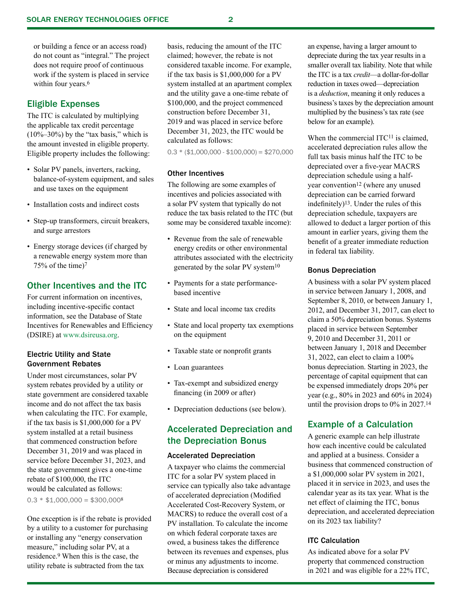or building a fence or an access road) do not count as "integral." The project does not require proof of continuous work if the system is placed in service within four years.<sup>6</sup>

# Eligible Expenses

The ITC is calculated by multiplying the applicable tax credit percentage  $(10\% - 30\%)$  by the "tax basis," which is the amount invested in eligible property. Eligible property includes the following:

- Solar PV panels, inverters, racking, balance-of-system equipment, and sales and use taxes on the equipment
- Installation costs and indirect costs
- Step-up transformers, circuit breakers, and surge arrestors
- Energy storage devices (if charged by a renewable energy system more than 75% of the time)7

# Other Incentives and the ITC

For current information on incentives, including incentive-specific contact information, see the Database of State Incentives for Renewables and Efficiency (DSIRE) at www.dsireusa.org.

#### Electric Utility and State Government Rebates

Under most circumstances, solar PV system rebates provided by a utility or state government are considered taxable income and do not affect the tax basis when calculating the ITC. For example, if the tax basis is \$1,000,000 for a PV system installed at a retail business that commenced construction before December 31, 2019 and was placed in service before December 31, 2023, and the state government gives a one-time rebate of \$100,000, the ITC would be calculated as follows:  $0.3 * $1,000,000 = $300,000<sup>8</sup>$ 

One exception is if the rebate is provided by a utility to a customer for purchasing or installing any "energy conservation measure," including solar PV, at a residence.9 When this is the case, the utility rebate is subtracted from the tax

basis, reducing the amount of the ITC claimed; however, the rebate is not considered taxable income. For example, if the tax basis is \$1,000,000 for a PV system installed at an apartment complex and the utility gave a one-time rebate of \$100,000, and the project commenced construction before December 31, 2019 and was placed in service before December 31, 2023, the ITC would be calculated as follows:

 $0.3 * ($1,000,000 - $100,000) = $270,000$ 

#### Other Incentives

The following are some examples of incentives and policies associated with a solar PV system that typically do not reduce the tax basis related to the ITC (but some may be considered taxable income):

- Revenue from the sale of renewable energy credits or other environmental attributes associated with the electricity generated by the solar PV system10
- Payments for a state performancebased incentive
- State and local income tax credits
- State and local property tax exemptions on the equipment
- Taxable state or nonprofit grants
- Loan guarantees
- Tax-exempt and subsidized energy financing (in 2009 or after)
- Depreciation deductions (see below).

# Accelerated Depreciation and the Depreciation Bonus

#### Accelerated Depreciation

A taxpayer who claims the commercial ITC for a solar PV system placed in service can typically also take advantage of accelerated depreciation (Modified Accelerated Cost-Recovery System, or MACRS) to reduce the overall cost of a PV installation. To calculate the income on which federal corporate taxes are owed, a business takes the difference between its revenues and expenses, plus or minus any adjustments to income. Because depreciation is considered

an expense, having a larger amount to depreciate during the tax year results in a smaller overall tax liability. Note that while the ITC is a tax *credit*—a dollar-for-dollar reduction in taxes owed—depreciation is a *deduction*, meaning it only reduces a business's taxes by the depreciation amount multiplied by the business's tax rate (see below for an example).

When the commercial ITC<sup>11</sup> is claimed, accelerated depreciation rules allow the full tax basis minus half the ITC to be depreciated over a five-year MACRS depreciation schedule using a halfyear convention<sup>12</sup> (where any unused depreciation can be carried forward indefinitely)13. Under the rules of this depreciation schedule, taxpayers are allowed to deduct a larger portion of this amount in earlier years, giving them the benefit of a greater immediate reduction in federal tax liability.

#### Bonus Depreciation

A business with a solar PV system placed in service between January 1, 2008, and September 8, 2010, or between January 1, 2012, and December 31, 2017, can elect to claim a 50% depreciation bonus. Systems placed in service between September 9, 2010 and December 31, 2011 or between January 1, 2018 and December 31, 2022, can elect to claim a 100% bonus depreciation. Starting in 2023, the percentage of capital equipment that can be expensed immediately drops 20% per year (e.g., 80% in 2023 and 60% in 2024) until the provision drops to 0% in 2027.14

# Example of a Calculation

A generic example can help illustrate how each incentive could be calculated and applied at a business. Consider a business that commenced construction of a \$1,000,000 solar PV system in 2021, placed it in service in 2023, and uses the calendar year as its tax year. What is the net effect of claiming the ITC, bonus depreciation, and accelerated depreciation on its 2023 tax liability?

#### ITC Calculation

As indicated above for a solar PV property that commenced construction in 2021 and was eligible for a 22% ITC,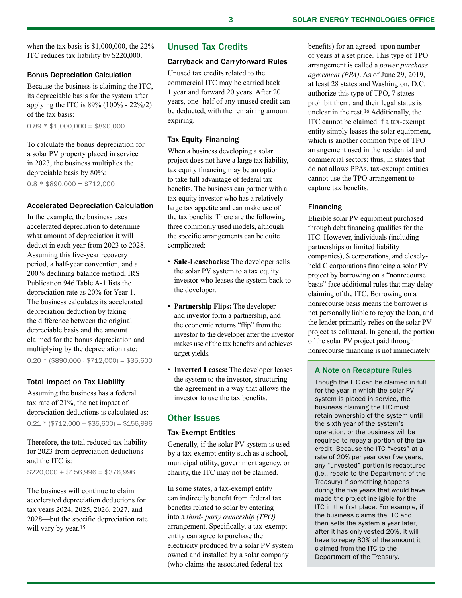when the tax basis is \$1,000,000, the 22% ITC reduces tax liability by \$220,000.

#### Bonus Depreciation Calculation

Because the business is claiming the ITC, its depreciable basis for the system after applying the ITC is 89% (100% - 22%/2) of the tax basis:

 $0.89 * $1,000,000 = $890,000$ 

To calculate the bonus depreciation for a solar PV property placed in service in 2023, the business multiplies the depreciable basis by 80%:

 $0.8 * $890,000 = $712,000$ 

#### Accelerated Depreciation Calculation

In the example, the business uses accelerated depreciation to determine what amount of depreciation it will deduct in each year from 2023 to 2028. Assuming this five-year recovery period, a half-year convention, and a 200% declining balance method, IRS Publication 946 Table A-1 lists the depreciation rate as 20% for Year 1. The business calculates its accelerated depreciation deduction by taking the difference between the original depreciable basis and the amount claimed for the bonus depreciation and multiplying by the depreciation rate:  $0.20 *$  (\$890,000 - \$712,000) = \$35,600

#### Total Impact on Tax Liability

Assuming the business has a federal tax rate of 21%, the net impact of depreciation deductions is calculated as:  $0.21 * ($712,000 + $35,600) = $156,996$ 

Therefore, the total reduced tax liability for 2023 from depreciation deductions and the ITC is:

 $$220.000 + $156.996 = $376.996$ 

The business will continue to claim accelerated depreciation deductions for tax years 2024, 2025, 2026, 2027, and 2028—but the specific depreciation rate will vary by year.<sup>15</sup>

# Unused Tax Credits

#### Carryback and Carryforward Rules

Unused tax credits related to the commercial ITC may be carried back 1 year and forward 20 years. After 20 years, one- half of any unused credit can be deducted, with the remaining amount expiring.

#### Tax Equity Financing

When a business developing a solar project does not have a large tax liability, tax equity financing may be an option to take full advantage of federal tax benefits. The business can partner with a tax equity investor who has a relatively large tax appetite and can make use of the tax benefits. There are the following three commonly used models, although the specific arrangements can be quite complicated:

- **Sale-Leasebacks:** The developer sells the solar PV system to a tax equity investor who leases the system back to the developer.
- **Partnership Flips:** The developer and investor form a partnership, and the economic returns "flip" from the investor to the developer after the investor makes use of the tax benefits and achieves target yields.
- **Inverted Leases:** The developer leases the system to the investor, structuring the agreement in a way that allows the investor to use the tax benefits.

# Other Issues

#### Tax-Exempt Entities

Generally, if the solar PV system is used by a tax-exempt entity such as a school, municipal utility, government agency, or charity, the ITC may not be claimed.

In some states, a tax-exempt entity can indirectly benefit from federal tax benefits related to solar by entering into a *third- party ownership (TPO)* arrangement. Specifically, a tax-exempt entity can agree to purchase the electricity produced by a solar PV system owned and installed by a solar company (who claims the associated federal tax

benefits) for an agreed- upon number of years at a set price. This type of TPO arrangement is called a *power purchase agreement (PPA)*. As of June 29, 2019, at least 28 states and Washington, D.C. authorize this type of TPO, 7 states prohibit them, and their legal status is unclear in the rest.16 Additionally, the ITC cannot be claimed if a tax-exempt entity simply leases the solar equipment, which is another common type of TPO arrangement used in the residential and commercial sectors; thus, in states that do not allows PPAs, tax-exempt entities cannot use the TPO arrangement to capture tax benefits.

#### Financing

Eligible solar PV equipment purchased through debt financing qualifies for the ITC. However, individuals (including partnerships or limited liability companies), S corporations, and closelyheld C corporations financing a solar PV project by borrowing on a "nonrecourse basis" face additional rules that may delay claiming of the ITC. Borrowing on a nonrecourse basis means the borrower is not personally liable to repay the loan, and the lender primarily relies on the solar PV project as collateral. In general, the portion of the solar PV project paid through nonrecourse financing is not immediately

# A Note on Recapture Rules

Though the ITC can be claimed in full for the year in which the solar PV system is placed in service, the business claiming the ITC must retain ownership of the system until the sixth year of the system's operation, or the business will be required to repay a portion of the tax credit. Because the ITC "vests" at a rate of 20% per year over five years, any "unvested" portion is recaptured (i.e., repaid to the Department of the Treasury) if something happens during the five years that would have made the project ineligible for the ITC in the first place. For example, if the business claims the ITC and then sells the system a year later, after it has only vested 20%, it will have to repay 80% of the amount it claimed from the ITC to the Department of the Treasury.